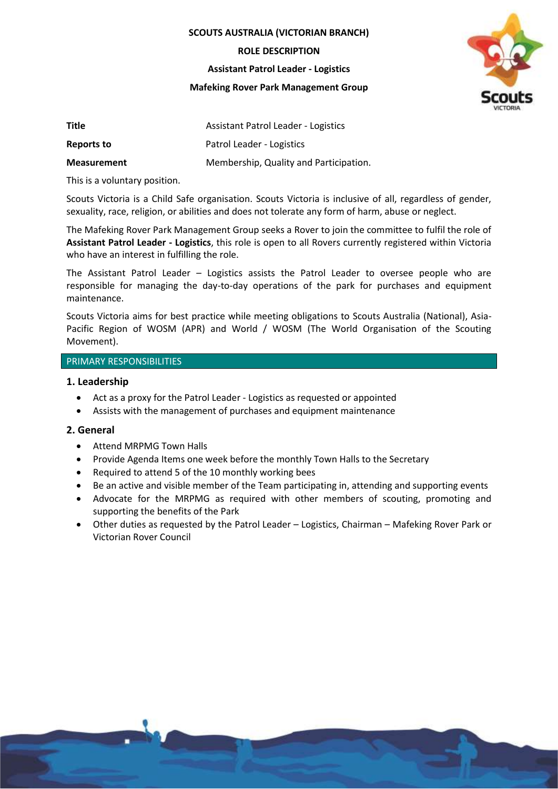**SCOUTS AUSTRALIA (VICTORIAN BRANCH)**

**ROLE DESCRIPTION**

#### **Assistant Patrol Leader - Logistics**

**Mafeking Rover Park Management Group**



| Title              | Assistant Patrol Leader - Logistics    |
|--------------------|----------------------------------------|
| Reports to         | Patrol Leader - Logistics              |
| <b>Measurement</b> | Membership, Quality and Participation. |

This is a voluntary position.

Scouts Victoria is a Child Safe organisation. Scouts Victoria is inclusive of all, regardless of gender, sexuality, race, religion, or abilities and does not tolerate any form of harm, abuse or neglect.

The Mafeking Rover Park Management Group seeks a Rover to join the committee to fulfil the role of **Assistant Patrol Leader - Logistics**, this role is open to all Rovers currently registered within Victoria who have an interest in fulfilling the role.

The Assistant Patrol Leader – Logistics assists the Patrol Leader to oversee people who are responsible for managing the day-to-day operations of the park for purchases and equipment maintenance.

Scouts Victoria aims for best practice while meeting obligations to Scouts Australia (National), Asia-Pacific Region of WOSM (APR) and World / WOSM (The World Organisation of the Scouting Movement).

# PRIMARY RESPONSIBILITIES

# **1. Leadership**

- Act as a proxy for the Patrol Leader Logistics as requested or appointed
- Assists with the management of purchases and equipment maintenance

# **2. General**

- Attend MRPMG Town Halls
- Provide Agenda Items one week before the monthly Town Halls to the Secretary
- Required to attend 5 of the 10 monthly working bees
- Be an active and visible member of the Team participating in, attending and supporting events
- Advocate for the MRPMG as required with other members of scouting, promoting and supporting the benefits of the Park
- Other duties as requested by the Patrol Leader Logistics, Chairman Mafeking Rover Park or Victorian Rover Council